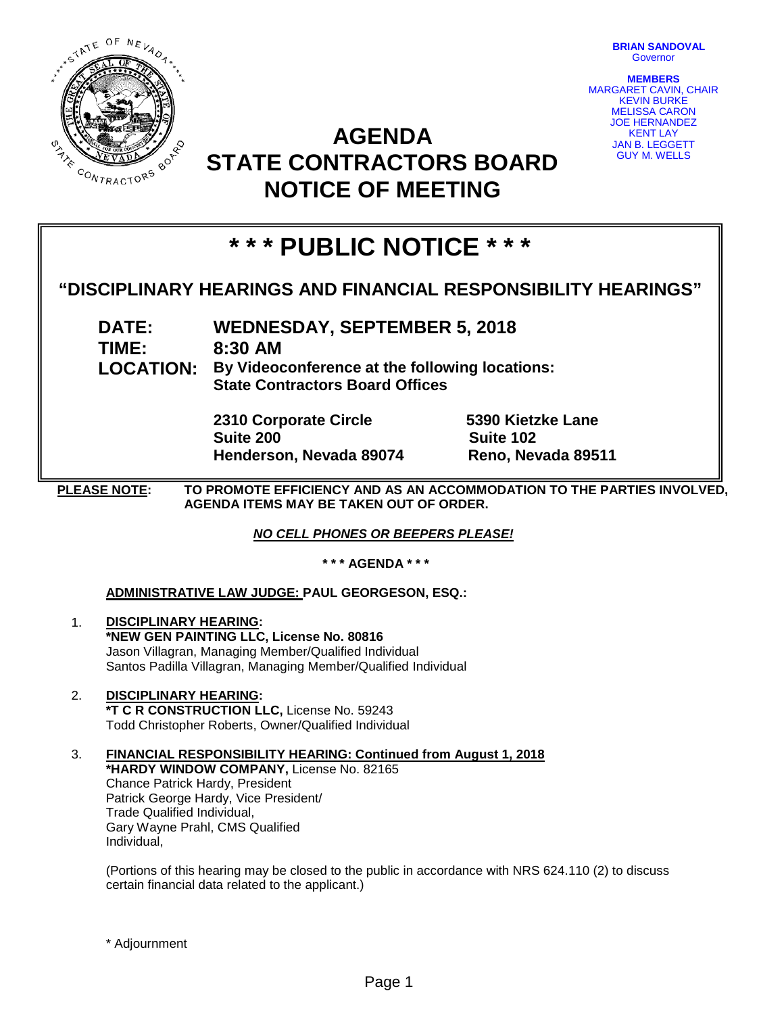

**BRIAN SANDOVAL Governor** 

**MEMBERS** MARGARET CAVIN, CHAIR KEVIN BURKE MELISSA CARON JOE HERNANDEZ KENT LAY JAN B. LEGGETT GUY M. WELLS

## **AGENDA STATE CONTRACTORS BOARD NOTICE OF MEETING**

# **\* \* \* PUBLIC NOTICE \* \* \***

### **"DISCIPLINARY HEARINGS AND FINANCIAL RESPONSIBILITY HEARINGS"**

**DATE: WEDNESDAY, SEPTEMBER 5, 2018 TIME: 8:30 AM LOCATION: By Videoconference at the following locations: State Contractors Board Offices**

> **2310 Corporate Circle 5390 Kietzke Lane Suite 200 Suite 102 Henderson, Nevada 89074 Reno, Nevada 89511**

**PLEASE NOTE: TO PROMOTE EFFICIENCY AND AS AN ACCOMMODATION TO THE PARTIES INVOLVED, AGENDA ITEMS MAY BE TAKEN OUT OF ORDER.**

*NO CELL PHONES OR BEEPERS PLEASE!* 

**\* \* \* AGENDA \* \* \***

#### **ADMINISTRATIVE LAW JUDGE: PAUL GEORGESON, ESQ.:**

- 1. **DISCIPLINARY HEARING: \*NEW GEN PAINTING LLC, License No. 80816** Jason Villagran, Managing Member/Qualified Individual Santos Padilla Villagran, Managing Member/Qualified Individual
- 2. **DISCIPLINARY HEARING: \*T C R CONSTRUCTION LLC,** License No. 59243 Todd Christopher Roberts, Owner/Qualified Individual
- 3. **FINANCIAL RESPONSIBILITY HEARING: Continued from August 1, 2018 \*HARDY WINDOW COMPANY,** License No. 82165 Chance Patrick Hardy, President Patrick George Hardy, Vice President/ Trade Qualified Individual, Gary Wayne Prahl, CMS Qualified Individual,

(Portions of this hearing may be closed to the public in accordance with NRS 624.110 (2) to discuss certain financial data related to the applicant.)

\* Adjournment